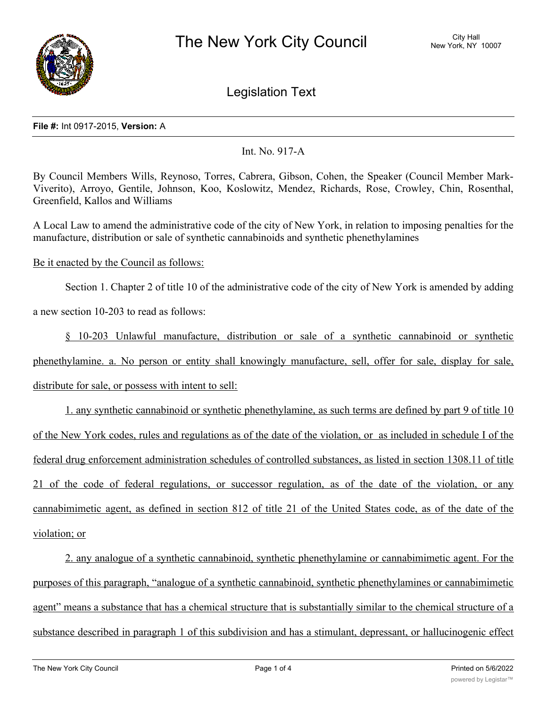

Legislation Text

## **File #:** Int 0917-2015, **Version:** A

Int. No. 917-A

By Council Members Wills, Reynoso, Torres, Cabrera, Gibson, Cohen, the Speaker (Council Member Mark-Viverito), Arroyo, Gentile, Johnson, Koo, Koslowitz, Mendez, Richards, Rose, Crowley, Chin, Rosenthal, Greenfield, Kallos and Williams

A Local Law to amend the administrative code of the city of New York, in relation to imposing penalties for the manufacture, distribution or sale of synthetic cannabinoids and synthetic phenethylamines

Be it enacted by the Council as follows:

Section 1. Chapter 2 of title 10 of the administrative code of the city of New York is amended by adding

a new section 10-203 to read as follows:

§ 10-203 Unlawful manufacture, distribution or sale of a synthetic cannabinoid or synthetic phenethylamine. a. No person or entity shall knowingly manufacture, sell, offer for sale, display for sale, distribute for sale, or possess with intent to sell:

1. any synthetic cannabinoid or synthetic phenethylamine, as such terms are defined by part 9 of title 10 of the New York codes, rules and regulations as of the date of the violation, or as included in schedule I of the federal drug enforcement administration schedules of controlled substances, as listed in section 1308.11 of title 21 of the code of federal regulations, or successor regulation, as of the date of the violation, or any cannabimimetic agent, as defined in section 812 of title 21 of the United States code, as of the date of the violation; or

2. any analogue of a synthetic cannabinoid, synthetic phenethylamine or cannabimimetic agent. For the purposes of this paragraph, "analogue of a synthetic cannabinoid, synthetic phenethylamines or cannabimimetic agent" means a substance that has a chemical structure that is substantially similar to the chemical structure of a substance described in paragraph 1 of this subdivision and has a stimulant, depressant, or hallucinogenic effect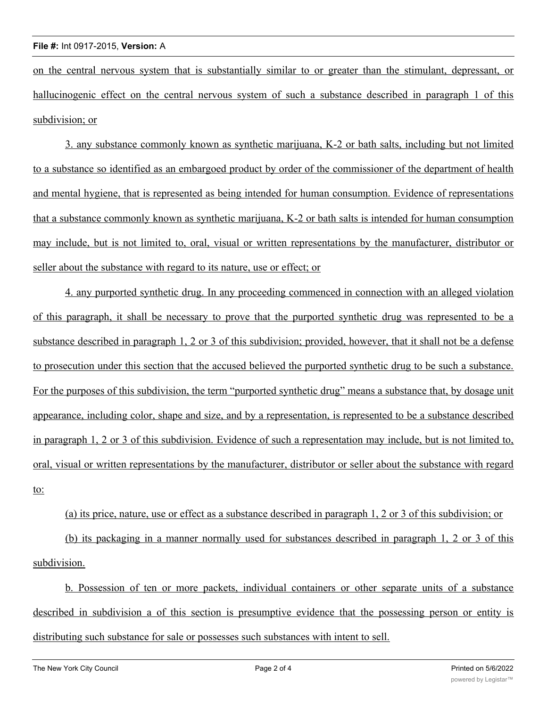on the central nervous system that is substantially similar to or greater than the stimulant, depressant, or hallucinogenic effect on the central nervous system of such a substance described in paragraph 1 of this subdivision; or

3. any substance commonly known as synthetic marijuana, K-2 or bath salts, including but not limited to a substance so identified as an embargoed product by order of the commissioner of the department of health and mental hygiene, that is represented as being intended for human consumption. Evidence of representations that a substance commonly known as synthetic marijuana, K-2 or bath salts is intended for human consumption may include, but is not limited to, oral, visual or written representations by the manufacturer, distributor or seller about the substance with regard to its nature, use or effect; or

4. any purported synthetic drug. In any proceeding commenced in connection with an alleged violation of this paragraph, it shall be necessary to prove that the purported synthetic drug was represented to be a substance described in paragraph 1, 2 or 3 of this subdivision; provided, however, that it shall not be a defense to prosecution under this section that the accused believed the purported synthetic drug to be such a substance. For the purposes of this subdivision, the term "purported synthetic drug" means a substance that, by dosage unit appearance, including color, shape and size, and by a representation, is represented to be a substance described in paragraph 1, 2 or 3 of this subdivision. Evidence of such a representation may include, but is not limited to, oral, visual or written representations by the manufacturer, distributor or seller about the substance with regard to:

(a) its price, nature, use or effect as a substance described in paragraph 1, 2 or 3 of this subdivision; or (b) its packaging in a manner normally used for substances described in paragraph 1, 2 or 3 of this

subdivision.

b. Possession of ten or more packets, individual containers or other separate units of a substance described in subdivision a of this section is presumptive evidence that the possessing person or entity is distributing such substance for sale or possesses such substances with intent to sell.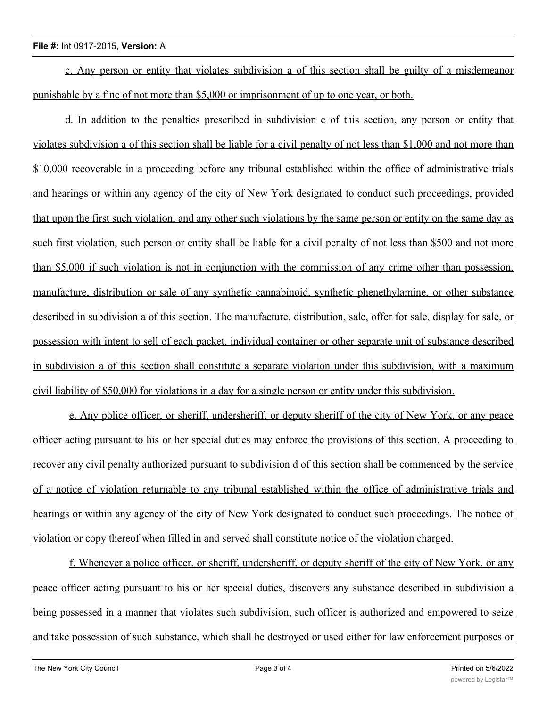## **File #:** Int 0917-2015, **Version:** A

c. Any person or entity that violates subdivision a of this section shall be guilty of a misdemeanor punishable by a fine of not more than \$5,000 or imprisonment of up to one year, or both.

d. In addition to the penalties prescribed in subdivision c of this section, any person or entity that violates subdivision a of this section shall be liable for a civil penalty of not less than \$1,000 and not more than \$10,000 recoverable in a proceeding before any tribunal established within the office of administrative trials and hearings or within any agency of the city of New York designated to conduct such proceedings, provided that upon the first such violation, and any other such violations by the same person or entity on the same day as such first violation, such person or entity shall be liable for a civil penalty of not less than \$500 and not more than \$5,000 if such violation is not in conjunction with the commission of any crime other than possession, manufacture, distribution or sale of any synthetic cannabinoid, synthetic phenethylamine, or other substance described in subdivision a of this section. The manufacture, distribution, sale, offer for sale, display for sale, or possession with intent to sell of each packet, individual container or other separate unit of substance described in subdivision a of this section shall constitute a separate violation under this subdivision, with a maximum civil liability of \$50,000 for violations in a day for a single person or entity under this subdivision.

e. Any police officer, or sheriff, undersheriff, or deputy sheriff of the city of New York, or any peace officer acting pursuant to his or her special duties may enforce the provisions of this section. A proceeding to recover any civil penalty authorized pursuant to subdivision d of this section shall be commenced by the service of a notice of violation returnable to any tribunal established within the office of administrative trials and hearings or within any agency of the city of New York designated to conduct such proceedings. The notice of violation or copy thereof when filled in and served shall constitute notice of the violation charged.

f. Whenever a police officer, or sheriff, undersheriff, or deputy sheriff of the city of New York, or any peace officer acting pursuant to his or her special duties, discovers any substance described in subdivision a being possessed in a manner that violates such subdivision, such officer is authorized and empowered to seize and take possession of such substance, which shall be destroyed or used either for law enforcement purposes or